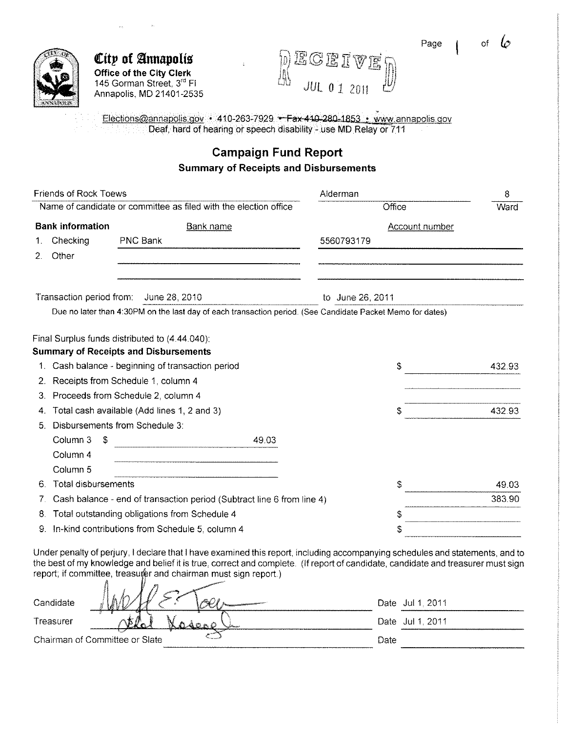Page i of



**City of Annapolis Office of the City Clerk**  145 Gorman Street, 3rd Fl Annapolis, MD 21401-2535

ECEIVET 10 *JUL* 0 1 <sup>2011</sup>

Elections@annapolis.gov • 410-263-7929 • Fax 410-280-1853 • www.annapolis.gov Deaf, hard of hearing or speech disability- use MD Relay or 711

### **Campaign Fund Report Summary of Receipts and Disbursements**

|    | <b>Friends of Rock Toews</b> |                                                                                                            | Alderman              | 8      |
|----|------------------------------|------------------------------------------------------------------------------------------------------------|-----------------------|--------|
|    |                              | Name of candidate or committee as filed with the election office                                           | Office                | Ward   |
|    | <b>Bank information</b>      | <b>Bank name</b>                                                                                           | <b>Account number</b> |        |
|    | Checking                     | <b>PNC Bank</b>                                                                                            | 5560793179            |        |
| 2. | Other                        |                                                                                                            |                       |        |
|    |                              | Transaction period from: June 28, 2010                                                                     | to June 26, 2011      |        |
|    |                              | Due no later than 4:30PM on the last day of each transaction period. (See Candidate Packet Memo for dates) |                       |        |
|    |                              | Final Surplus funds distributed to (4.44.040):                                                             |                       |        |
|    |                              | <b>Summary of Receipts and Disbursements</b>                                                               |                       |        |
| 1. |                              | Cash balance - beginning of transaction period                                                             | \$                    | 432.93 |
| 2. |                              | Receipts from Schedule 1, column 4                                                                         |                       |        |
| З. |                              | Proceeds from Schedule 2, column 4                                                                         |                       |        |
| 4. |                              | Total cash available (Add lines 1, 2 and 3)                                                                | S                     | 432 93 |
| 5. |                              | Disbursements from Schedule 3:                                                                             |                       |        |
|    | Column 3<br>S                | 49.03                                                                                                      |                       |        |
|    | Column 4                     |                                                                                                            |                       |        |
|    | Column 5                     |                                                                                                            |                       |        |
| 6. | <b>Total disbursements</b>   |                                                                                                            | S                     | 49 03  |
| 7. |                              | Cash balance - end of transaction period (Subtract line 6 from line 4)                                     |                       | 383.90 |
| 8. |                              | Total outstanding obligations from Schedule 4                                                              | S                     |        |
| 9. |                              | In-kind contributions from Schedule 5, column 4                                                            | \$                    |        |

Under penalty of perjury, I declare that I have examined this report, including accompanying schedules and statements, and to the best of my knowledge and belief it is true, correct and complete. (If report of candidate, candidate and treasurer must sign report; if committee, treasurer and chairman must sign report.)

| Candidate<br><b><i>STORIES CONSTRUCTION CONTINUES</i></b> | Date Jul 1, 2011 |  |
|-----------------------------------------------------------|------------------|--|
| Treasurer                                                 | Date Jul 1, 2011 |  |
| Chairman of Committee or Slate                            | Date             |  |
|                                                           |                  |  |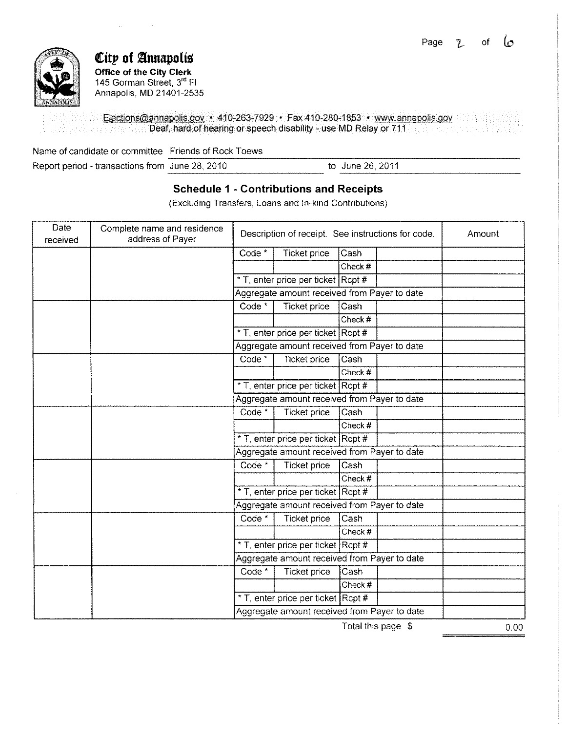

## **City of Annapolis Office of the City Clerk**

145 Gorman Street, 3rd Fl Annapolis, MD 21401-2535

Electiohs@annapolis.gov • 410-263-7929 • Fax 410-280-1853 • www.annapolis.gov Deaf, hard of hearing or speech disability- use MD Relay or 711

Name of candidate or committee \_Friends of Rock Toews \_\_\_\_\_\_\_\_\_\_\_\_\_\_\_\_\_\_\_\_\_\_\_\_\_\_<br>Report period - transactions from June 28, 2010 to June 26, 2011 to June 26, 2011 ------------------------

### **Schedule 1 - Contributions and Receipts**

(Excluding Transfers, Loans and In-kind Contributions)

| Date<br>received | Complete name and residence<br>address of Payer | Description of receipt. See instructions for code. |                                              |         | Amount |  |
|------------------|-------------------------------------------------|----------------------------------------------------|----------------------------------------------|---------|--------|--|
|                  |                                                 | Code *                                             | <b>Ticket price</b>                          | Cash    |        |  |
|                  |                                                 |                                                    |                                              | Check # |        |  |
|                  |                                                 |                                                    | * T, enter price per ticket Rcpt #           |         |        |  |
|                  |                                                 |                                                    | Aggregate amount received from Payer to date |         |        |  |
|                  |                                                 | Code <sup>*</sup>                                  | <b>Ticket price</b>                          | Cash    |        |  |
|                  |                                                 |                                                    |                                              | Check # |        |  |
|                  |                                                 |                                                    | * T, enter price per ticket Rcpt #           |         |        |  |
|                  |                                                 |                                                    | Aggregate amount received from Payer to date |         |        |  |
|                  |                                                 | Code <sup>*</sup>                                  | Ticket price                                 | Cash    |        |  |
|                  |                                                 |                                                    |                                              | Check # |        |  |
|                  |                                                 |                                                    | * T, enter price per ticket Rcpt #           |         |        |  |
|                  |                                                 |                                                    | Aggregate amount received from Payer to date |         |        |  |
|                  |                                                 | Code *                                             | <b>Ticket price</b>                          | Cash    |        |  |
|                  |                                                 |                                                    |                                              | Check # |        |  |
|                  |                                                 |                                                    | * T, enter price per ticket Rcpt #           |         |        |  |
|                  |                                                 |                                                    | Aggregate amount received from Payer to date |         |        |  |
|                  |                                                 | Code <sup>*</sup>                                  | Ticket price                                 | Cash    |        |  |
|                  |                                                 |                                                    |                                              | Check # |        |  |
|                  |                                                 |                                                    | * T, enter price per ticket Rcpt #           |         |        |  |
|                  |                                                 |                                                    | Aggregate amount received from Payer to date |         |        |  |
|                  |                                                 | Code *                                             | Ticket price                                 | Cash    |        |  |
|                  |                                                 |                                                    |                                              | Check#  |        |  |
|                  |                                                 |                                                    | * T, enter price per ticket Rcpt #           |         |        |  |
|                  |                                                 |                                                    | Aggregate amount received from Payer to date |         |        |  |
|                  |                                                 | Code *                                             | <b>Ticket price</b>                          | Cash    |        |  |
|                  |                                                 |                                                    |                                              | Check # |        |  |
|                  |                                                 |                                                    | * T, enter price per ticket Rcpt #           |         |        |  |
|                  |                                                 |                                                    | Aggregate amount received from Payer to date |         |        |  |

Total this page \$

 $0.00$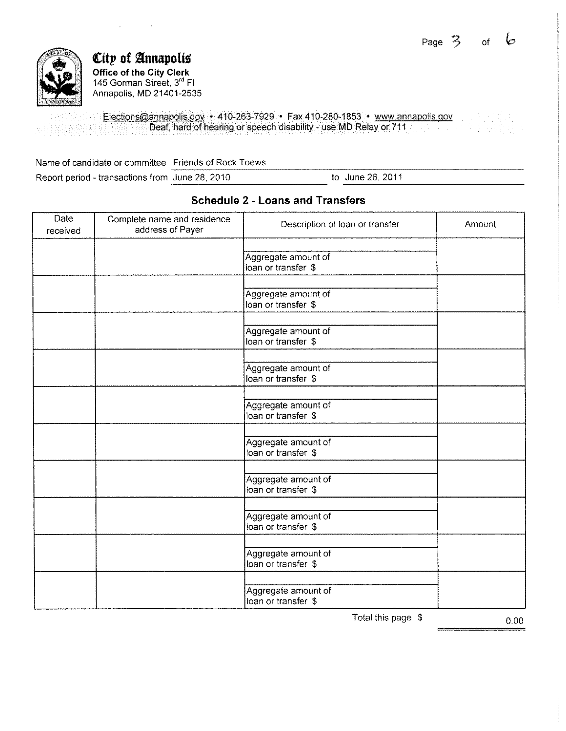

*City* of Annapolis **Office of the City Clerk**  145 Gorman Street, 3rd Fl Annapolis, MD 21401-2535

Elections@annapolis.gov • 410-263-7929 • Fax 410-280-1853 • www.annapolis.gov Deaf, hard of hearing or speech disability- use MD Relay or 711

Name of candidate or committee Friends of Rock Toews Report period - transactions from June 28, 2010 to June 26, 2011

| Date<br>received | Complete name and residence<br>address of Payer | Description of loan or transfer            | Amount |
|------------------|-------------------------------------------------|--------------------------------------------|--------|
|                  |                                                 | Aggregate amount of<br>loan or transfer \$ |        |
|                  |                                                 | Aggregate amount of<br>loan or transfer \$ |        |
|                  |                                                 | Aggregate amount of<br>loan or transfer \$ |        |
|                  |                                                 | Aggregate amount of<br>loan or transfer \$ |        |
|                  |                                                 | Aggregate amount of<br>loan or transfer \$ |        |
|                  |                                                 | Aggregate amount of<br>loan or transfer \$ |        |
|                  |                                                 | Aggregate amount of<br>loan or transfer \$ |        |
|                  |                                                 | Aggregate amount of<br>loan or transfer \$ |        |
|                  |                                                 | Aggregate amount of<br>loan or transfer \$ |        |
|                  |                                                 | Aggregate amount of<br>loan or transfer \$ |        |

**Schedule 2 - Loans and Transfers** 

Total this page  $\beta$  0.00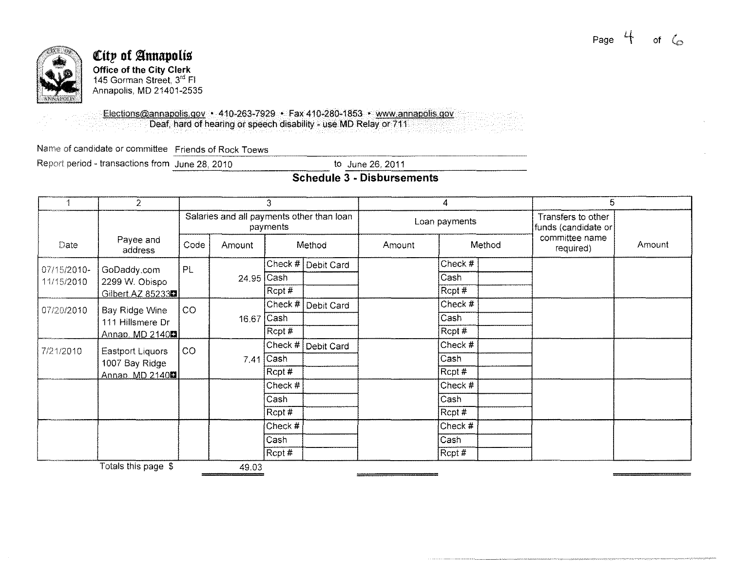

# City of Annapolis Office of the City Clerk<br>145 Gorman Street, 3<sup>rd</sup> Fl Annapolis, MD 21401-2535

Elections@annapolis.gov · 410-263-7929 · Fax 410-280-1853 · www.annapolis.gov Deaf, hard of hearing or speech disability - use MD Relay or 711

Name of candidate or committee Friends of Rock Toews

Report period - transactions from June 28, 2010

to June 26, 2011

### Schedule 3 - Disbursements

|             | $\overline{2}$                                                    | 3                                                                      |            |             | 4                                         |        |         | 5      |                             |        |
|-------------|-------------------------------------------------------------------|------------------------------------------------------------------------|------------|-------------|-------------------------------------------|--------|---------|--------|-----------------------------|--------|
|             |                                                                   | Salaries and all payments other than loan<br>Loan payments<br>payments |            |             | Transfers to other<br>funds (candidate or |        |         |        |                             |        |
| Date        | Payee and<br>address                                              | Code                                                                   | Amount     |             | Method                                    | Amount |         | Method | committee name<br>required) | Amount |
| 07/15/2010- | GoDaddy.com                                                       | PL.                                                                    |            | Check #     | Debit Card                                |        | Check # |        |                             |        |
| 11/15/2010  | 2299 W. Obispo                                                    |                                                                        | 24.95 Cash |             |                                           |        | Čash    |        |                             |        |
|             | Gilbert.AZ 85233                                                  |                                                                        |            | Rcpt #      |                                           |        | Rept#   |        |                             |        |
| 07/20/2010  | Bay Ridge Wine<br>111 Hillsmere Dr<br><u>Annap. MD 2140間</u>      | CO                                                                     |            | Check #     | Debit Card                                |        | Check # |        |                             |        |
|             |                                                                   |                                                                        | 16.67 Cash |             |                                           |        | Cash    |        |                             |        |
|             |                                                                   |                                                                        |            | Rcpt#       |                                           |        | Rcpt #  |        |                             |        |
| 7/21/2010   | Eastport Liquors<br>1007 Bay Ridge<br>Annap. MD 2140 <sup>1</sup> | CO                                                                     |            | Check $#$   | Debit Card                                |        | Check # |        |                             |        |
|             |                                                                   |                                                                        |            | $7.41$ Cash |                                           |        | Cash    |        |                             |        |
|             |                                                                   |                                                                        |            | Rcpt #      |                                           |        | Rcpt#   |        |                             |        |
|             |                                                                   |                                                                        |            | Check #     |                                           |        | Check # |        |                             |        |
|             |                                                                   |                                                                        |            | Cash        |                                           |        | Cash    |        |                             |        |
|             |                                                                   |                                                                        |            | Rcpt #      |                                           |        | Rept#   |        |                             |        |
|             |                                                                   |                                                                        |            | Check #     |                                           |        | Check # |        |                             |        |
|             |                                                                   |                                                                        |            | Cash        |                                           |        | Cash    |        |                             |        |
|             |                                                                   |                                                                        |            | Rcpt#       |                                           |        | Rept#   |        |                             |        |
|             | Totals this page \$                                               |                                                                        | 49.03      |             |                                           |        |         |        |                             |        |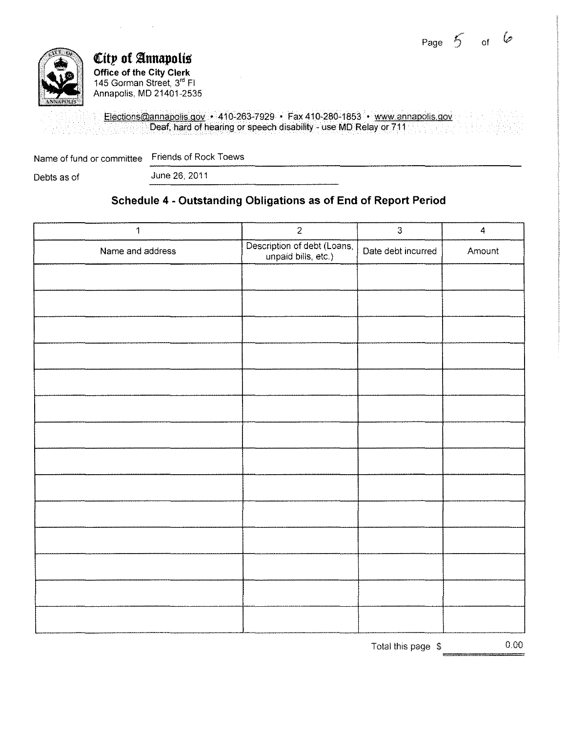Page *5*  of  $\varphi$ 



**City of Annapolis Office of the City Clerk**  145 Gorman Street, 3rd Fl Annapolis, MD 21401-2535

Elections@annapolis.gov • 410-263-7929 • Fax 410-280-1853 • www.annapolis.gov Deaf, hard of hearing or speech disability- use MD Relay or 711

Name of fund or committee Friends of Rock Toews Name of fund or committee Triends of Rock Toews<br>Debts as of June 26, 2011

 $\sim$ 

### **Schedule 4 - Outstanding Obligations as of End of Report Period**

| $\mathbf{1}$     | $\overline{2}$                                     | $\overline{3}$     | $\overline{\mathbf{4}}$ |
|------------------|----------------------------------------------------|--------------------|-------------------------|
| Name and address | Description of debt (Loans,<br>unpaid bills, etc.) | Date debt incurred | Amount                  |
|                  |                                                    |                    |                         |
|                  |                                                    |                    |                         |
|                  |                                                    |                    |                         |
|                  |                                                    |                    |                         |
|                  |                                                    |                    |                         |
|                  |                                                    |                    |                         |
|                  |                                                    |                    |                         |
|                  |                                                    |                    |                         |
|                  |                                                    |                    |                         |
|                  |                                                    |                    |                         |
|                  |                                                    |                    |                         |
|                  |                                                    |                    |                         |
|                  |                                                    |                    |                         |
|                  |                                                    |                    |                         |

Total this page \$ 0.00  $\begin{array}{c}\n 0.00 \\
\end{array}$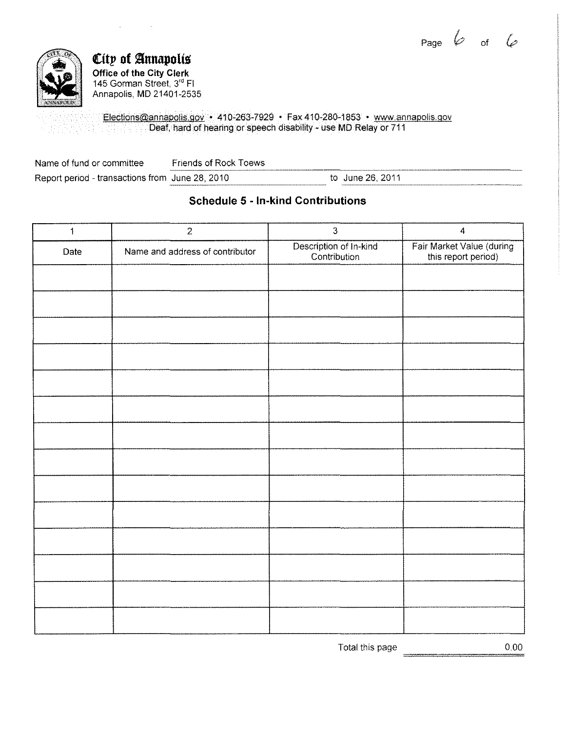Page  $\mathscr V$  of



### ${\mathfrak{C}}$ ity of Annapolis **Office of the City Clerk**  145 Gorman Street, 3<sup>re</sup> Fl Annapolis, MD 21401-2535

 $\sim$   $\sim$ 

 $\sim 10^{-11}$ 

Elections@annapolis.gov • 410-263-7929 • Fax410-280-1853 • www.annapolis.gov Deaf, hard of hearing or speech disability - use MD Relay or 711

| Name of fund or committee                       | Friends of Rock Toews |                  |
|-------------------------------------------------|-----------------------|------------------|
| Report period - transactions from June 28, 2010 |                       | to June 26, 2011 |

### **Schedule 5 - In-kind Contributions**

| $\mathbf{1}$ | $\sqrt{2}$                      | $\overline{3}$                         | $\overline{\mathbf{4}}$                          |
|--------------|---------------------------------|----------------------------------------|--------------------------------------------------|
| Date         | Name and address of contributor | Description of In-kind<br>Contribution | Fair Market Value (during<br>this report period) |
|              |                                 |                                        |                                                  |
|              |                                 |                                        |                                                  |
|              |                                 |                                        |                                                  |
|              |                                 |                                        |                                                  |
|              |                                 |                                        |                                                  |
|              |                                 |                                        |                                                  |
|              |                                 |                                        |                                                  |
|              |                                 |                                        |                                                  |
|              |                                 |                                        |                                                  |
|              |                                 |                                        |                                                  |
|              |                                 |                                        |                                                  |
|              |                                 |                                        |                                                  |
|              |                                 |                                        |                                                  |
|              |                                 |                                        |                                                  |

Total this page 0.00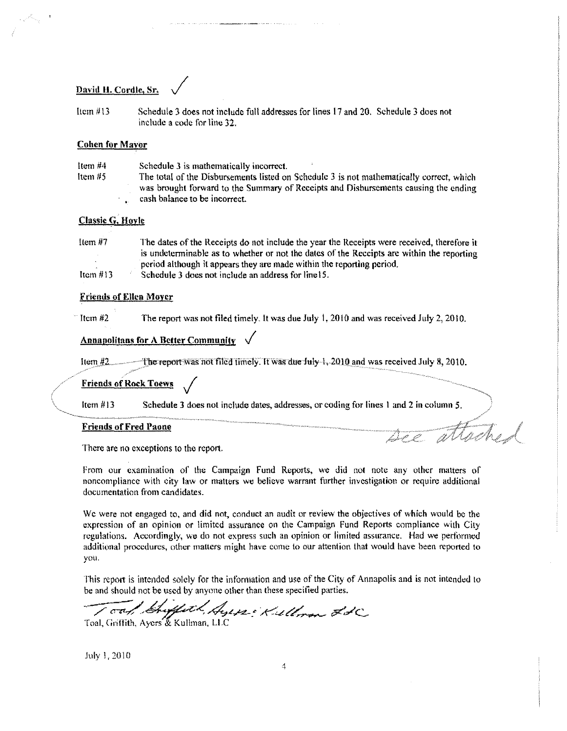#### David H. Cordle, Sr.

Item #13 Schedule 3 does not include full addresses for lines 17 and 20. Schedule 3 dues not include a code for line 32.

#### **Cohen for Mayor**

| Item $#4$ | Schedule 3 is mathematically incorrect.                                                  |
|-----------|------------------------------------------------------------------------------------------|
| Item $#5$ | The total of the Disbursements listed on Schedule 3 is not mathematically correct, which |
|           | was brought forward to the Summary of Receipts and Disbursements causing the ending      |
|           | cash balance to be incorrect.                                                            |

#### Classic G. Hoyle

| ltem $#7$  | The dates of the Receipts do not include the year the Receipts were received, therefore it |
|------------|--------------------------------------------------------------------------------------------|
|            | is undeterminable as to whether or not the dates of the Receipts are within the reporting  |
|            | period although it appears they are made within the reporting period.                      |
| Item $#13$ | Schedule 3 does not include an address for line15.                                         |

#### Friends of Ellen Moyer

Item  $#2$  The report was not filed timely. It was due July 1, 2010 and was received July 2, 2010.

#### Annapolitans for A Better Community

Item  $\frac{1}{2}$  (*I*) The report was not filed timely. It was due July 1, 2010 and was received July 8, 2010.

#### Friends of Rock Toews .;

Item# 13 Schedule 3 does not include dates, addresses. or coding for lines I and 2 in column *5.* 

#### Friends of Fred Paone

There are no exceptions to the report.

From our examination of the Campaign Fund Reports, we did not note any other matters of noncompliance with city law or matters we believe warrant further investigation or require additional documentation from candidates.

attache.

We were not engaged to, and did not, conduct an audit or review the objectives of which would be the expression of an opinion or limited assurance on the Campaign Fund Reports compliance with City regulations. Accordingly, we do not express such an opinion or limited assurance. Had we performed additional procedures, other matters might have come to our attention that would have been reported to you.

This report is intended 5olcly for the information and use of the City of Annapolis and is not intended to be and should not be used by anyone other than these specified parties .

Toal, Griffath, Ayers & Kullman, LLC

July 1, 2010